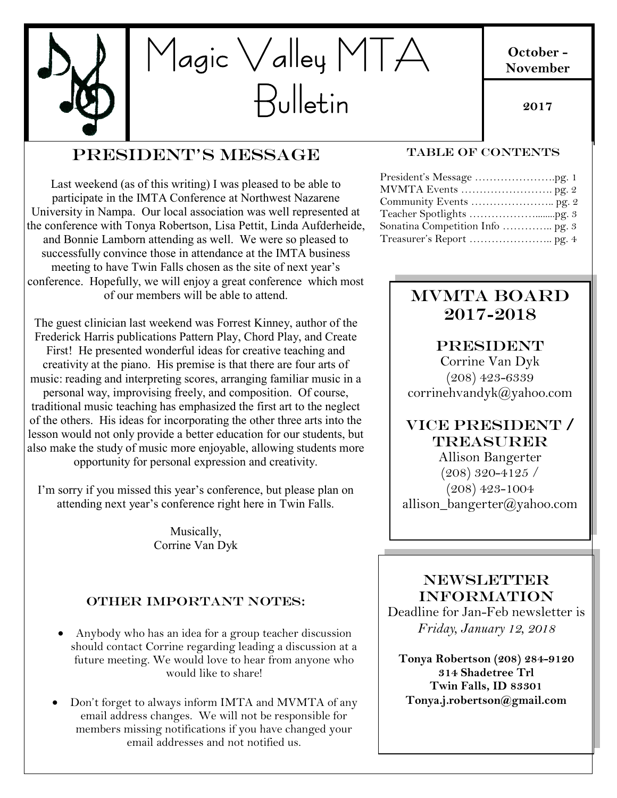

#### **October - November**

**2017**

## President's Message

Last weekend (as of this writing) I was pleased to be able to participate in the IMTA Conference at Northwest Nazarene University in Nampa. Our local association was well represented at the conference with Tonya Robertson, Lisa Pettit, Linda Aufderheide, and Bonnie Lamborn attending as well. We were so pleased to successfully convince those in attendance at the IMTA business meeting to have Twin Falls chosen as the site of next year's conference. Hopefully, we will enjoy a great conference which most of our members will be able to attend.

The guest clinician last weekend was Forrest Kinney, author of the Frederick Harris publications Pattern Play, Chord Play, and Create First! He presented wonderful ideas for creative teaching and creativity at the piano. His premise is that there are four arts of music: reading and interpreting scores, arranging familiar music in a personal way, improvising freely, and composition. Of course, traditional music teaching has emphasized the first art to the neglect of the others. His ideas for incorporating the other three arts into the lesson would not only provide a better education for our students, but also make the study of music more enjoyable, allowing students more opportunity for personal expression and creativity.

I'm sorry if you missed this year's conference, but please plan on attending next year's conference right here in Twin Falls.

> Musically, Corrine Van Dyk

### OTHER IMPORTANT NOTES:

- Anybody who has an idea for a group teacher discussion should contact Corrine regarding leading a discussion at a future meeting. We would love to hear from anyone who would like to share!
- Don't forget to always inform IMTA and MVMTA of any email address changes. We will not be responsible for members missing notifications if you have changed your email addresses and not notified us.

#### TABLE OF CONTENTS

## MVMTA BOARD 2017-2018

**PRESIDENT** 

Corrine Van Dyk (208) 423-6339 corrinehvandyk@yahoo.com

## VICE PRESIDENT / Treasurer

allison\_bangerter@yahoo.com Allison Bangerter (208) 320-4125 / (208) 423-1004

#### **NEWSLETTER** INFORMATION

Deadline for Jan-Feb newsletter is *Friday, January 12, 2018*

**Tonya Robertson (208) 284-9120 314 Shadetree Trl Twin Falls, ID 83301 Tonya.j.robertson@gmail.com**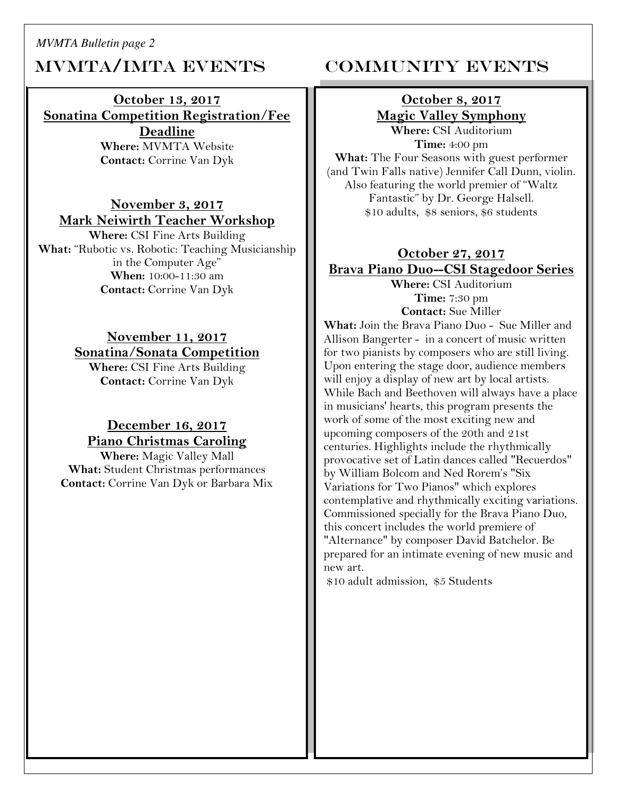*MVMTA Bulletin page 2*

## MVMTA/IMTA EVENTS COMMUNITY EVENTS

## **October 13, 2017 Sonatina Competition Registration/Fee**

**Deadline Where:** MVMTA Website **Contact:** Corrine Van Dyk

#### **November 3, 2017 Mark Neiwirth Teacher Workshop**

**Where:** CSI Fine Arts Building **What:** "Rubotic vs. Robotic: Teaching Musicianship in the Computer Age" **When:** 10:00-11:30 am **Contact:** Corrine Van Dyk

## **November 11, 2017 Sonatina/Sonata Competition**

**Where:** CSI Fine Arts Building **Contact:** Corrine Van Dyk

#### **December 16, 2017 Piano Christmas Caroling**

**Where:** Magic Valley Mall **What:** Student Christmas performances **Contact:** Corrine Van Dyk or Barbara Mix

#### **October 8, 2017 Magic Valley Symphony Where:** CSI Auditorium

**Time:** 4:00 pm **What:** The Four Seasons with guest performer (and Twin Falls native) Jennifer Call Dunn, violin. Also featuring the world premier of "Waltz Fantastic" by Dr. George Halsell. \$10 adults, \$8 seniors, \$6 students

#### **October 27, 2017 Brava Piano Duo--CSI Stagedoor Series**

**Where:** CSI Auditorium **Time:** 7:30 pm **Contact:** Sue Miller

**What:** Join the Brava Piano Duo - Sue Miller and Allison Bangerter - in a concert of music written for two pianists by composers who are still living. Upon entering the stage door, audience members will enjoy a display of new art by local artists. While Bach and Beethoven will always have a place in musicians' hearts, this program presents the work of some of the most exciting new and upcoming composers of the 20th and 21st centuries. Highlights include the rhythmically provocative set of Latin dances called "Recuerdos" by William Bolcom and Ned Rorem's "Six Variations for Two Pianos" which explores contemplative and rhythmically exciting variations. Commissioned specially for the Brava Piano Duo, this concert includes the world premiere of "Alternance" by composer David Batchelor. Be prepared for an intimate evening of new music and new art.

\$10 adult admission, \$5 Students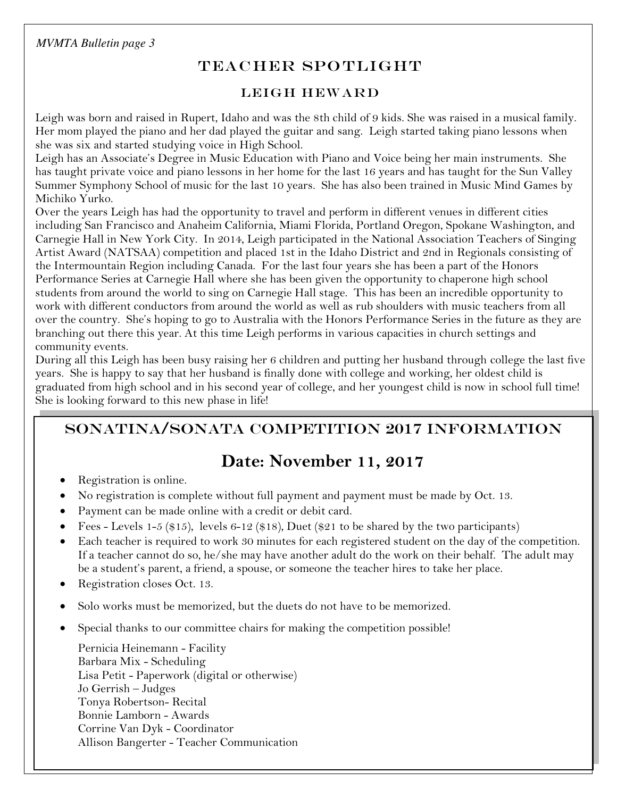*MVMTA Bulletin page 3*

## TEACHER SPOTLIGHT

#### LEIGH HEWARD

Leigh was born and raised in Rupert, Idaho and was the 8th child of 9 kids. She was raised in a musical family. Her mom played the piano and her dad played the guitar and sang. Leigh started taking piano lessons when she was six and started studying voice in High School.

Leigh has an Associate's Degree in Music Education with Piano and Voice being her main instruments. She has taught private voice and piano lessons in her home for the last 16 years and has taught for the Sun Valley Summer Symphony School of music for the last 10 years. She has also been trained in Music Mind Games by Michiko Yurko.

Over the years Leigh has had the opportunity to travel and perform in different venues in different cities including San Francisco and Anaheim California, Miami Florida, Portland Oregon, Spokane Washington, and Carnegie Hall in New York City. In 2014, Leigh participated in the National Association Teachers of Singing Artist Award (NATSAA) competition and placed 1st in the Idaho District and 2nd in Regionals consisting of the Intermountain Region including Canada. For the last four years she has been a part of the Honors Performance Series at Carnegie Hall where she has been given the opportunity to chaperone high school students from around the world to sing on Carnegie Hall stage. This has been an incredible opportunity to work with different conductors from around the world as well as rub shoulders with music teachers from all over the country. She's hoping to go to Australia with the Honors Performance Series in the future as they are branching out there this year. At this time Leigh performs in various capacities in church settings and community events.

During all this Leigh has been busy raising her 6 children and putting her husband through college the last five years. She is happy to say that her husband is finally done with college and working, her oldest child is graduated from high school and in his second year of college, and her youngest child is now in school full time! She is looking forward to this new phase in life!

### SONATINA/SONATA COMPETITION 2017 INFORMATION

## **Date: November 11, 2017**

- Registration is online.
- $\bullet$  No registration is complete without full payment and payment must be made by Oct. 13.
- Payment can be made online with a credit or debit card.
- Fees Levels 1-5 (\$15), levels 6-12 (\$18), Duet (\$21 to be shared by the two participants)
- $\bullet$  Each teacher is required to work 30 minutes for each registered student on the day of the competition. If a teacher cannot do so, he/she may have another adult do the work on their behalf. The adult may be a student's parent, a friend, a spouse, or someone the teacher hires to take her place.
- Registration closes Oct. 13.
- Solo works must be memorized, but the duets do not have to be memorized.
- Special thanks to our committee chairs for making the competition possible!

Pernicia Heinemann - Facility Barbara Mix - Scheduling Lisa Petit - Paperwork (digital or otherwise) Jo Gerrish – Judges Tonya Robertson- Recital Bonnie Lamborn - Awards Corrine Van Dyk - Coordinator Allison Bangerter - Teacher Communication